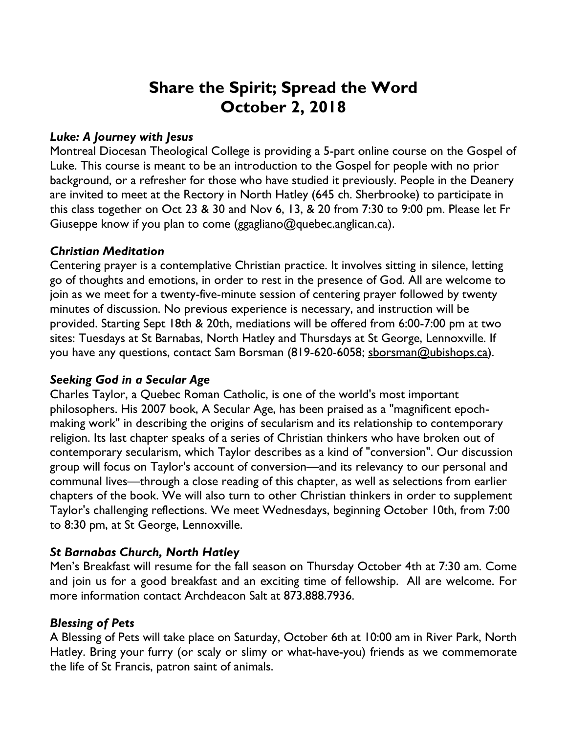# **Share the Spirit; Spread the Word October 2, 2018**

## *Luke: A Journey with Jesus*

Montreal Diocesan Theological College is providing a 5-part online course on the Gospel of Luke. This course is meant to be an introduction to the Gospel for people with no prior background, or a refresher for those who have studied it previously. People in the Deanery are invited to meet at the Rectory in North Hatley (645 ch. Sherbrooke) to participate in this class together on Oct 23 & 30 and Nov 6, 13, & 20 from 7:30 to 9:00 pm. Please let Fr Giuseppe know if you plan to come (ggagliano@quebec.anglican.ca).

## *Christian Meditation*

Centering prayer is a contemplative Christian practice. It involves sitting in silence, letting go of thoughts and emotions, in order to rest in the presence of God. All are welcome to join as we meet for a twenty-five-minute session of centering prayer followed by twenty minutes of discussion. No previous experience is necessary, and instruction will be provided. Starting Sept 18th & 20th, mediations will be offered from 6:00-7:00 pm at two sites: Tuesdays at St Barnabas, North Hatley and Thursdays at St George, Lennoxville. If you have any questions, contact Sam Borsman (819-620-6058; sborsman@ubishops.ca).

## *Seeking God in a Secular Age*

Charles Taylor, a Quebec Roman Catholic, is one of the world's most important philosophers. His 2007 book, A Secular Age, has been praised as a "magnificent epochmaking work" in describing the origins of secularism and its relationship to contemporary religion. Its last chapter speaks of a series of Christian thinkers who have broken out of contemporary secularism, which Taylor describes as a kind of "conversion". Our discussion group will focus on Taylor's account of conversion—and its relevancy to our personal and communal lives—through a close reading of this chapter, as well as selections from earlier chapters of the book. We will also turn to other Christian thinkers in order to supplement Taylor's challenging reflections. We meet Wednesdays, beginning October 10th, from 7:00 to 8:30 pm, at St George, Lennoxville.

## *St Barnabas Church, North Hatley*

Men's Breakfast will resume for the fall season on Thursday October 4th at 7:30 am. Come and join us for a good breakfast and an exciting time of fellowship. All are welcome. For more information contact Archdeacon Salt at 873.888.7936.

## *Blessing of Pets*

A Blessing of Pets will take place on Saturday, October 6th at 10:00 am in River Park, North Hatley. Bring your furry (or scaly or slimy or what-have-you) friends as we commemorate the life of St Francis, patron saint of animals.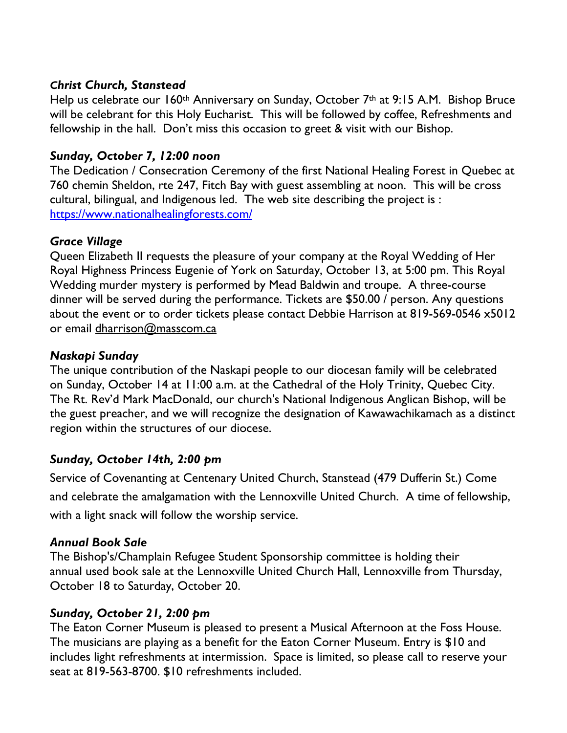## *Christ Church, Stanstead*

Help us celebrate our 160<sup>th</sup> Anniversary on Sunday, October 7<sup>th</sup> at 9:15 A.M. Bishop Bruce will be celebrant for this Holy Eucharist. This will be followed by coffee, Refreshments and fellowship in the hall. Don't miss this occasion to greet & visit with our Bishop.

## *Sunday, October 7, 12:00 noon*

The Dedication / Consecration Ceremony of the first National Healing Forest in Quebec at 760 chemin Sheldon, rte 247, Fitch Bay with guest assembling at noon. This will be cross cultural, bilingual, and Indigenous led. The web site describing the project is : https://www.nationalhealingforests.com/

## *Grace Village*

Queen Elizabeth II requests the pleasure of your company at the Royal Wedding of Her Royal Highness Princess Eugenie of York on Saturday, October 13, at 5:00 pm. This Royal Wedding murder mystery is performed by Mead Baldwin and troupe. A three-course dinner will be served during the performance. Tickets are \$50.00 / person. Any questions about the event or to order tickets please contact Debbie Harrison at 819-569-0546 x5012 or email dharrison@masscom.ca

## *Naskapi Sunday*

The unique contribution of the Naskapi people to our diocesan family will be celebrated on Sunday, October 14 at 11:00 a.m. at the Cathedral of the Holy Trinity, Quebec City. The Rt. Rev'd Mark MacDonald, our church's National Indigenous Anglican Bishop, will be the guest preacher, and we will recognize the designation of Kawawachikamach as a distinct region within the structures of our diocese.

## *Sunday, October 14th, 2:00 pm*

Service of Covenanting at Centenary United Church, Stanstead (479 Dufferin St.) Come and celebrate the amalgamation with the Lennoxville United Church. A time of fellowship, with a light snack will follow the worship service.

## *Annual Book Sale*

The Bishop's/Champlain Refugee Student Sponsorship committee is holding their annual used book sale at the Lennoxville United Church Hall, Lennoxville from Thursday, October 18 to Saturday, October 20.

## *Sunday, October 21, 2:00 pm*

The Eaton Corner Museum is pleased to present a Musical Afternoon at the Foss House. The musicians are playing as a benefit for the Eaton Corner Museum. Entry is \$10 and includes light refreshments at intermission. Space is limited, so please call to reserve your seat at 819-563-8700. \$10 refreshments included.